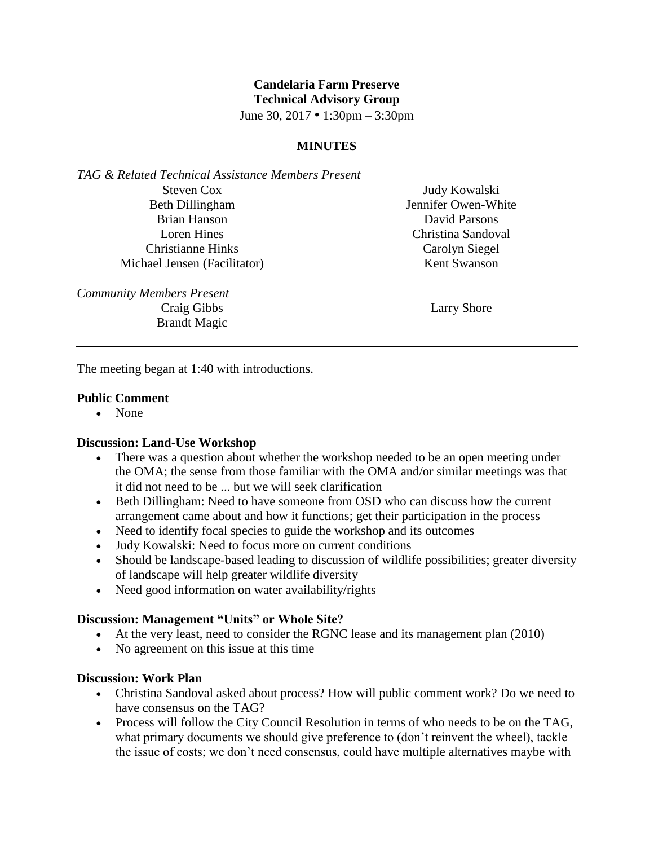# **Candelaria Farm Preserve Technical Advisory Group**

June 30, 2017 • 1:30pm – 3:30pm

### **MINUTES**

*TAG & Related Technical Assistance Members Present* Steven Cox Beth Dillingham Brian Hanson Loren Hines Christianne Hinks Michael Jensen (Facilitator)

*Community Members Present* Craig Gibbs Brandt Magic

Judy Kowalski Jennifer Owen-White David Parsons Christina Sandoval Carolyn Siegel Kent Swanson

Larry Shore

The meeting began at 1:40 with introductions.

#### **Public Comment**

• None

#### **Discussion: Land-Use Workshop**

- There was a question about whether the workshop needed to be an open meeting under the OMA; the sense from those familiar with the OMA and/or similar meetings was that it did not need to be ... but we will seek clarification
- Beth Dillingham: Need to have someone from OSD who can discuss how the current arrangement came about and how it functions; get their participation in the process
- Need to identify focal species to guide the workshop and its outcomes
- Judy Kowalski: Need to focus more on current conditions
- Should be landscape-based leading to discussion of wildlife possibilities; greater diversity of landscape will help greater wildlife diversity
- Need good information on water availability/rights

### **Discussion: Management "Units" or Whole Site?**

- At the very least, need to consider the RGNC lease and its management plan (2010)
- No agreement on this issue at this time

### **Discussion: Work Plan**

- Christina Sandoval asked about process? How will public comment work? Do we need to have consensus on the TAG?
- Process will follow the City Council Resolution in terms of who needs to be on the TAG, what primary documents we should give preference to (don't reinvent the wheel), tackle the issue of costs; we don't need consensus, could have multiple alternatives maybe with